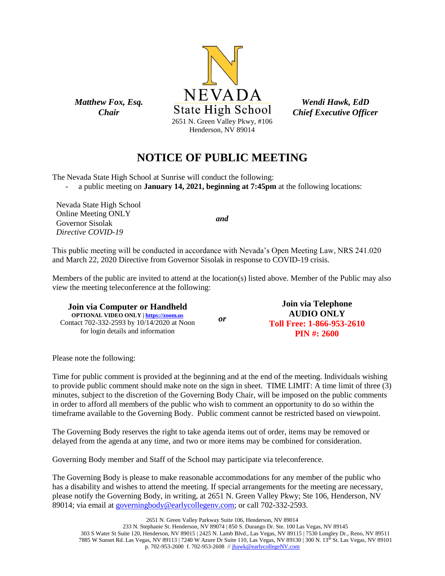

*Wendi Hawk, EdD Chief Executive Officer*

# **NOTICE OF PUBLIC MEETING**

The Nevada State High School at Sunrise will conduct the following:

- a public meeting on **January 14, 2021, beginning at 7:45pm** at the following locations:

Nevada State High School Online Meeting ONLY Governor Sisolak *Directive COVID-19*

*Matthew Fox, Esq. Chair*

*and*

This public meeting will be conducted in accordance with Nevada's Open Meeting Law, NRS 241.020 and March 22, 2020 Directive from Governor Sisolak in response to COVID-19 crisis.

Members of the public are invited to attend at the location(s) listed above. Member of the Public may also view the meeting teleconference at the following:

**Join via Computer or Handheld OPTIONAL VIDEO ONLY [| https://zoom.us](https://zoom.us/)** Contact 702-332-2593 by 10/14/2020 at Noon for login details and information *or* **Join via Telephone AUDIO ONLY Toll Free: 1-866-953-2610 PIN #: 2600**

Please note the following:

Time for public comment is provided at the beginning and at the end of the meeting. Individuals wishing to provide public comment should make note on the sign in sheet. TIME LIMIT: A time limit of three (3) minutes, subject to the discretion of the Governing Body Chair, will be imposed on the public comments in order to afford all members of the public who wish to comment an opportunity to do so within the timeframe available to the Governing Body. Public comment cannot be restricted based on viewpoint.

The Governing Body reserves the right to take agenda items out of order, items may be removed or delayed from the agenda at any time, and two or more items may be combined for consideration.

Governing Body member and Staff of the School may participate via teleconference.

The Governing Body is please to make reasonable accommodations for any member of the public who has a disability and wishes to attend the meeting. If special arrangements for the meeting are necessary, please notify the Governing Body, in writing, at 2651 N. Green Valley Pkwy; Ste 106, Henderson, NV 89014; via email at [governingbody@earlycollegenv.com;](mailto:governingbody@earlycollegenv.com) or call 702-332-2593.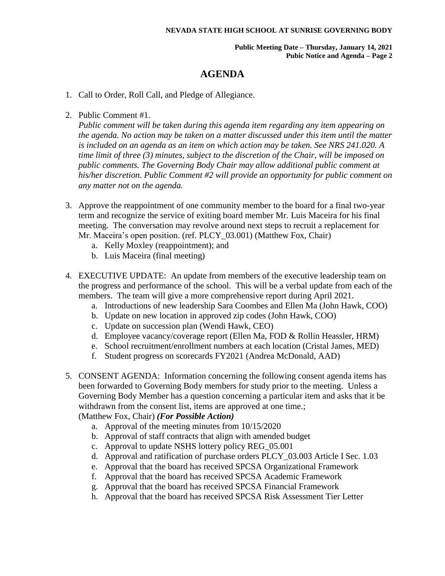**Public Meeting Date – Thursday, January 14, 2021 Pubic Notice and Agenda – Page 2**

### **AGENDA**

- 1. Call to Order, Roll Call, and Pledge of Allegiance.
- 2. Public Comment #1.

*Public comment will be taken during this agenda item regarding any item appearing on the agenda. No action may be taken on a matter discussed under this item until the matter is included on an agenda as an item on which action may be taken. See NRS 241.020. A time limit of three (3) minutes, subject to the discretion of the Chair, will be imposed on public comments. The Governing Body Chair may allow additional public comment at his/her discretion. Public Comment #2 will provide an opportunity for public comment on any matter not on the agenda.*

- 3. Approve the reappointment of one community member to the board for a final two-year term and recognize the service of exiting board member Mr. Luis Maceira for his final meeting. The conversation may revolve around next steps to recruit a replacement for Mr. Maceira's open position. (ref. PLCY\_03.001) (Matthew Fox, Chair)
	- a. Kelly Moxley (reappointment); and
	- b. Luis Maceira (final meeting)
- 4. EXECUTIVE UPDATE: An update from members of the executive leadership team on the progress and performance of the school. This will be a verbal update from each of the members. The team will give a more comprehensive report during April 2021.
	- a. Introductions of new leadership Sara Coombes and Ellen Ma (John Hawk, COO)
	- b. Update on new location in approved zip codes (John Hawk, COO)
	- c. Update on succession plan (Wendi Hawk, CEO)
	- d. Employee vacancy/coverage report (Ellen Ma, FOD & Rollin Heassler, HRM)
	- e. School recruitment/enrollment numbers at each location (Cristal James, MED)
	- f. Student progress on scorecards FY2021 (Andrea McDonald, AAD)
- 5. CONSENT AGENDA: Information concerning the following consent agenda items has been forwarded to Governing Body members for study prior to the meeting. Unless a Governing Body Member has a question concerning a particular item and asks that it be withdrawn from the consent list, items are approved at one time.; (Matthew Fox, Chair) *(For Possible Action)*
	- a. Approval of the meeting minutes from 10/15/2020
	- b. Approval of staff contracts that align with amended budget
	- c. Approval to update NSHS lottery policy REG\_05.001
	- d. Approval and ratification of purchase orders PLCY\_03.003 Article I Sec. 1.03
	- e. Approval that the board has received SPCSA Organizational Framework
	- f. Approval that the board has received SPCSA Academic Framework
	- g. Approval that the board has received SPCSA Financial Framework
	- h. Approval that the board has received SPCSA Risk Assessment Tier Letter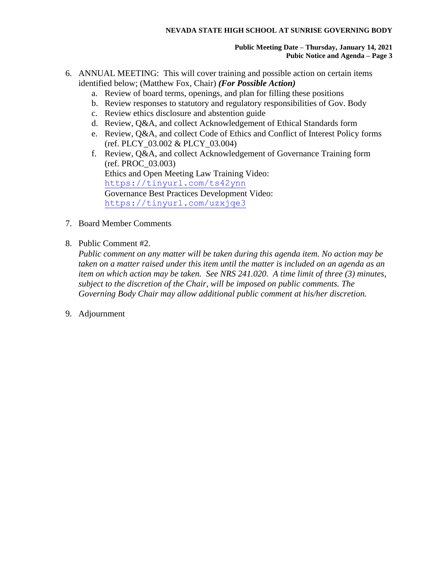#### **NEVADA STATE HIGH SCHOOL AT SUNRISE GOVERNING BODY**

#### **Public Meeting Date – Thursday, January 14, 2021 Pubic Notice and Agenda – Page 3**

- 6. ANNUAL MEETING: This will cover training and possible action on certain items identified below; (Matthew Fox, Chair) *(For Possible Action)*
	- a. Review of board terms, openings, and plan for filling these positions
	- b. Review responses to statutory and regulatory responsibilities of Gov. Body
	- c. Review ethics disclosure and abstention guide
	- d. Review, Q&A, and collect Acknowledgement of Ethical Standards form
	- e. Review, Q&A, and collect Code of Ethics and Conflict of Interest Policy forms (ref. PLCY\_03.002 & PLCY\_03.004)
	- f. Review, Q&A, and collect Acknowledgement of Governance Training form (ref. PROC\_03.003) Ethics and Open Meeting Law Training Video: <https://tinyurl.com/ts42ynn> Governance Best Practices Development Video: <https://tinyurl.com/uzxjqe3>
- 7. Board Member Comments
- 8. Public Comment #2.

*Public comment on any matter will be taken during this agenda item. No action may be taken on a matter raised under this item until the matter is included on an agenda as an item on which action may be taken. See NRS 241.020. A time limit of three (3) minutes, subject to the discretion of the Chair, will be imposed on public comments. The Governing Body Chair may allow additional public comment at his/her discretion.*

9. Adjournment